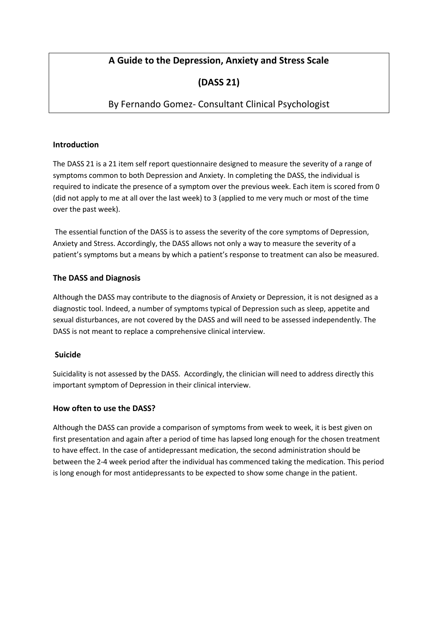# **A Guide to the Depression, Anxiety and Stress Scale**

# **(DASS 21)**

# By Fernando Gomez- Consultant Clinical Psychologist

### **Introduction**

The DASS 21 is a 21 item self report questionnaire designed to measure the severity of a range of symptoms common to both Depression and Anxiety. In completing the DASS, the individual is required to indicate the presence of a symptom over the previous week. Each item is scored from 0 (did not apply to me at all over the last week) to 3 (applied to me very much or most of the time over the past week).

The essential function of the DASS is to assess the severity of the core symptoms of Depression, Anxiety and Stress. Accordingly, the DASS allows not only a way to measure the severity of a patient's symptoms but a means by which a patient's response to treatment can also be measured.

### **The DASS and Diagnosis**

Although the DASS may contribute to the diagnosis of Anxiety or Depression, it is not designed as a diagnostic tool. Indeed, a number of symptoms typical of Depression such as sleep, appetite and sexual disturbances, are not covered by the DASS and will need to be assessed independently. The DASS is not meant to replace a comprehensive clinical interview.

#### **Suicide**

Suicidality is not assessed by the DASS. Accordingly, the clinician will need to address directly this important symptom of Depression in their clinical interview.

#### **How often to use the DASS?**

Although the DASS can provide a comparison of symptoms from week to week, it is best given on first presentation and again after a period of time has lapsed long enough for the chosen treatment to have effect. In the case of antidepressant medication, the second administration should be between the 2-4 week period after the individual has commenced taking the medication. This period is long enough for most antidepressants to be expected to show some change in the patient.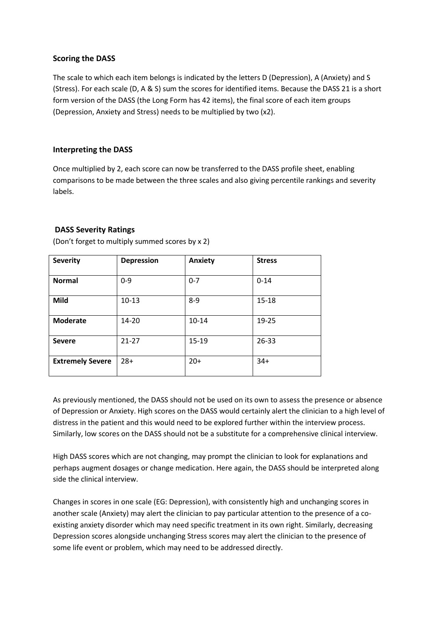### **Scoring the DASS**

The scale to which each item belongs is indicated by the letters D (Depression), A (Anxiety) and S (Stress). For each scale (D, A & S) sum the scores for identified items. Because the DASS 21 is a short form version of the DASS (the Long Form has 42 items), the final score of each item groups (Depression, Anxiety and Stress) needs to be multiplied by two (x2).

## **Interpreting the DASS**

Once multiplied by 2, each score can now be transferred to the DASS profile sheet, enabling comparisons to be made between the three scales and also giving percentile rankings and severity labels.

## **DASS Severity Ratings**

| <b>Severity</b>         | <b>Depression</b> | <b>Anxiety</b> | <b>Stress</b> |
|-------------------------|-------------------|----------------|---------------|
|                         |                   |                |               |
| <b>Normal</b>           | $0-9$             | $0 - 7$        | $0 - 14$      |
|                         |                   |                |               |
| Mild                    | $10-13$           | $8 - 9$        | $15 - 18$     |
|                         |                   |                |               |
| <b>Moderate</b>         | $14 - 20$         | $10 - 14$      | 19-25         |
|                         |                   |                |               |
| <b>Severe</b>           | $21 - 27$         | $15 - 19$      | $26 - 33$     |
|                         |                   |                |               |
| <b>Extremely Severe</b> | $28+$             | $20+$          | $34+$         |
|                         |                   |                |               |

(Don't forget to multiply summed scores by x 2)

As previously mentioned, the DASS should not be used on its own to assess the presence or absence of Depression or Anxiety. High scores on the DASS would certainly alert the clinician to a high level of distress in the patient and this would need to be explored further within the interview process. Similarly, low scores on the DASS should not be a substitute for a comprehensive clinical interview.

High DASS scores which are not changing, may prompt the clinician to look for explanations and perhaps augment dosages or change medication. Here again, the DASS should be interpreted along side the clinical interview.

Changes in scores in one scale (EG: Depression), with consistently high and unchanging scores in another scale (Anxiety) may alert the clinician to pay particular attention to the presence of a coexisting anxiety disorder which may need specific treatment in its own right. Similarly, decreasing Depression scores alongside unchanging Stress scores may alert the clinician to the presence of some life event or problem, which may need to be addressed directly.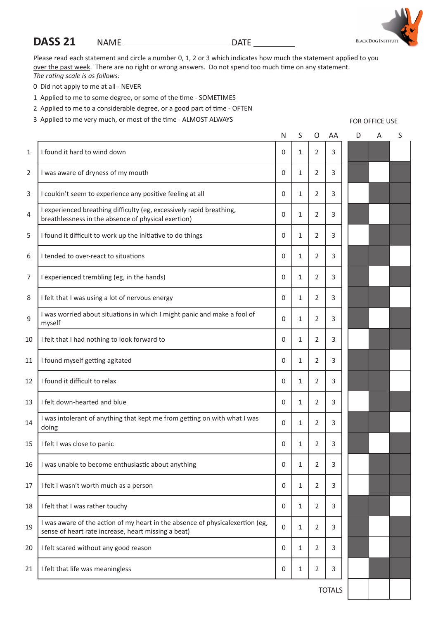# **DASS 21** NAME DATE

Please read each statement and circle a number 0, 1, 2 or 3 which indicates how much the statement applied to you over the past week. There are no right or wrong answers. Do not spend too much time on any statement. *The rating scale is as follows:*

- 0 Did not apply to me at all NEVER
- 1 Applied to me to some degree, or some of the time SOMETIMES
- 2 Applied to me to a considerable degree, or a good part of time OFTEN
- 3 Applied to me very much, or most of the time ALMOST ALWAYS

N S O AA I found it hard to wind down 0 1 2 3 I was aware of dryness of my mouth 0 1 2 3 I couldn't seem to experience any positive feeling at all 0 1 2 3  $\begin{bmatrix} 1 \\ 4 \end{bmatrix}$  I experienced breathing difficulty (eg, excessively rapid breathing, Fexperienced breathing difficulty (eg. excessively rapid breathing.<br>
breathlessness in the absence of physical exertion) I found it difficult to work up the initiative to do things 0 1 2 3 I tended to over-react to situations 0 1 2 3 I experienced trembling (eg, in the hands) 0 1 2 3 I felt that I was using a lot of nervous energy 0 1 2 3 I was worried about situations in which I might panic and make a fool of myself <sup>0</sup> <sup>1</sup> <sup>2</sup> <sup>3</sup> I felt that I had nothing to look forward to 0 1 2 3 I found myself getting agitated 0 1 2 3 I found it difficult to relax 0 1 2 3 13 I felt down-hearted and blue  $\begin{array}{ccc} 1 & 0 & 1 & 2 & 3 \end{array}$  I was intolerant of anything that kept me from getting on with what I was doing <sup>0</sup> <sup>1</sup> <sup>2</sup> <sup>3</sup> 15 I felt I was close to panic  $\begin{array}{ccc} 1 & 0 & 1 & 2 & 3 \end{array}$  I was unable to become enthusiastic about anything 0 1 2 3 I felt I wasn't worth much as a person 0 1 2 3 18 I felt that I was rather touchy  $\begin{array}{ccc} 1 & 0 & 1 & 2 & 3 \end{array}$ 19 | I was aware of the action of my heart in the absence of physicalexertion (eg, T was aware of the action of my neart in the absence of physical<br>exertion (eg.  $\begin{bmatrix} 0 & 1 & 2 \end{bmatrix}$  3<br>sense of heart rate increase, heart missing a beat) I felt scared without any good reason 0 1 2 3 I felt that life was meaningless 0 1 2 3



FOR OFFICE USE

 $D$  A S